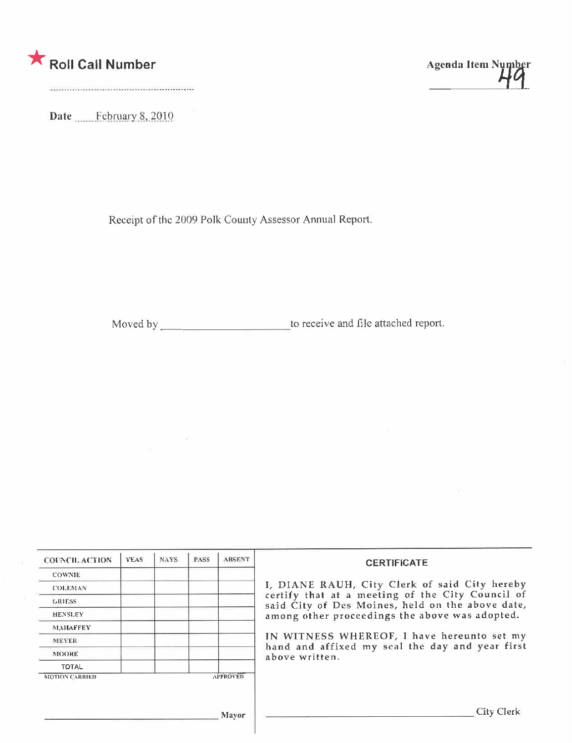

Agenda Item Number

Date February 8, 2010

Receipt of the 2009 Polk County Assessor Annual Report.

 $\sim$ 

Moved by \_\_\_\_\_\_\_\_\_\_\_\_\_\_\_\_\_\_\_\_\_\_\_\_\_\_\_\_\_\_to receive and file attached report.

| <b>COUNCIL ACTION</b> | <b>YEAS</b> | <b>NAYS</b> | PASS | <b>ABSENT</b>   | <b>CERTIFICATE</b>                                                                                   |
|-----------------------|-------------|-------------|------|-----------------|------------------------------------------------------------------------------------------------------|
| <b>COWNIE</b>         |             |             |      |                 |                                                                                                      |
| <b>COLEMAN</b>        |             |             |      |                 | I, DIANE RAUH, City Clerk of said City hereby                                                        |
| <b>GRIESS</b>         |             |             |      |                 | certify that at a meeting of the City Council of<br>said City of Des Moines, held on the above date, |
| <b>HENSLEY</b>        |             |             |      |                 | among other proceedings the above was adopted.                                                       |
| <b>MAILAFFEY</b>      |             |             |      |                 |                                                                                                      |
| <b>MEYER</b>          |             |             |      |                 | IN WITNESS WHEREOF, I have hereunto set my<br>hand and affixed my seal the day and year first        |
| MOORE                 |             |             |      |                 | above written.                                                                                       |
| TOTAL                 |             |             |      |                 |                                                                                                      |
| <b>MOTION CARRIED</b> |             |             |      | <b>APPROVED</b> |                                                                                                      |
|                       |             |             |      |                 |                                                                                                      |
|                       |             |             |      | Mayor           | City Clerk                                                                                           |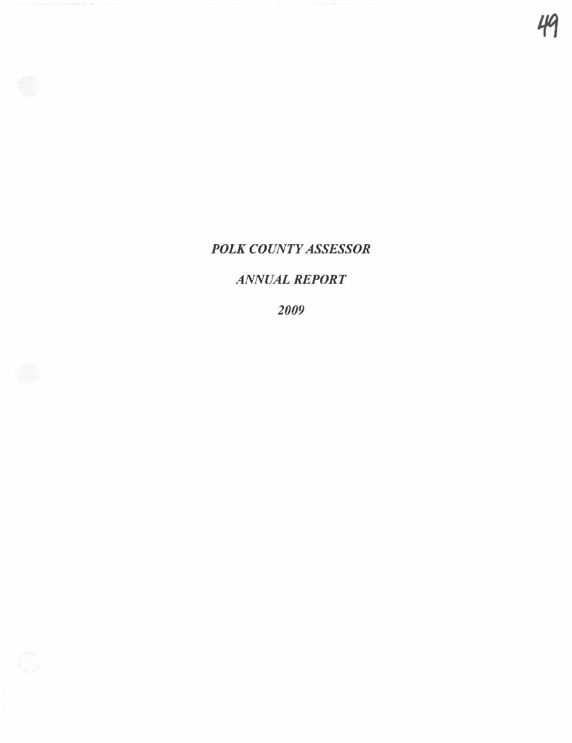# POLK COUNTY ASSESSOR

49

## ANNUAL REPORT

2009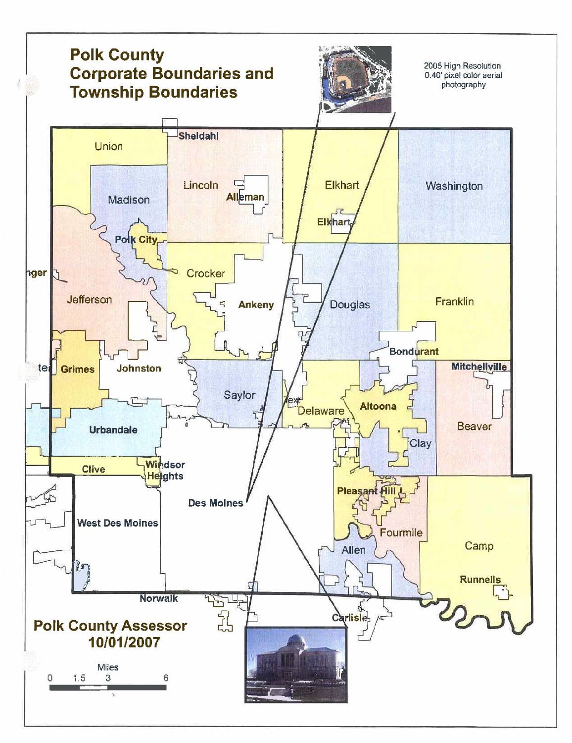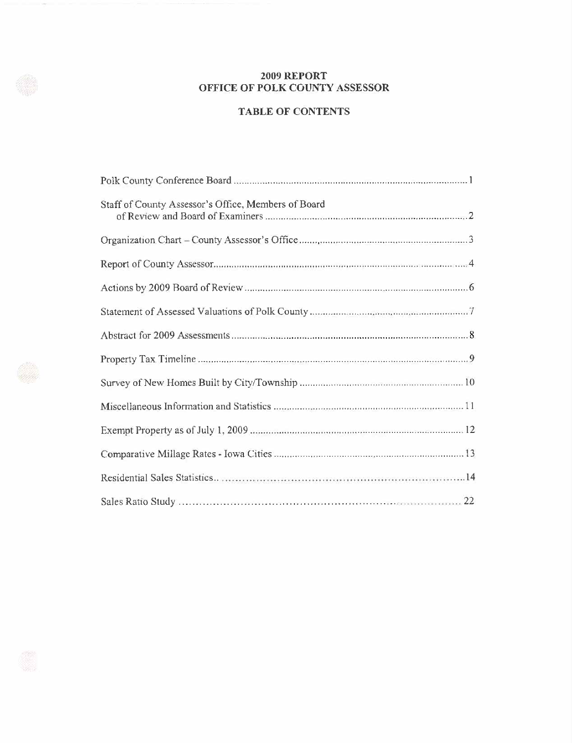### 2009 REPORT OFFICE OF POLK COUNTY ASSESSOR

### TABLE OF CONTENTS

| Staff of County Assessor's Office, Members of Board |
|-----------------------------------------------------|
|                                                     |
|                                                     |
|                                                     |
|                                                     |
|                                                     |
|                                                     |
|                                                     |
|                                                     |
|                                                     |
|                                                     |
|                                                     |
|                                                     |



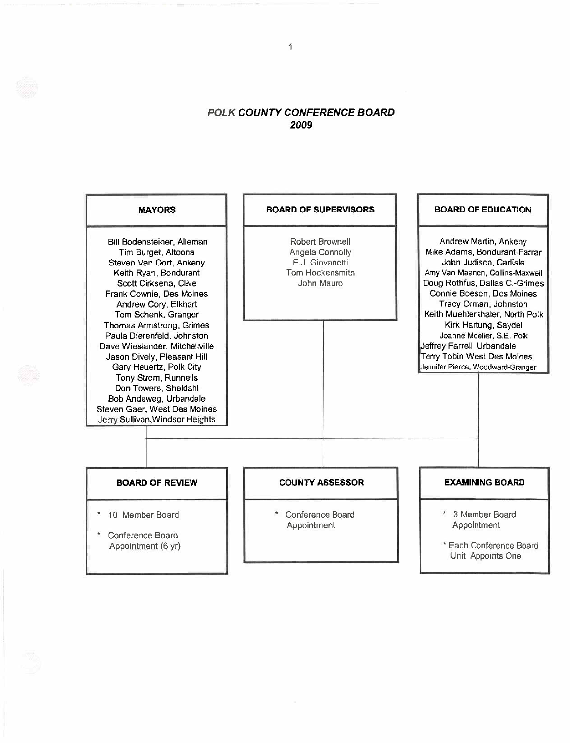### POLK COUNTY CONFERENCE BOARD 2009

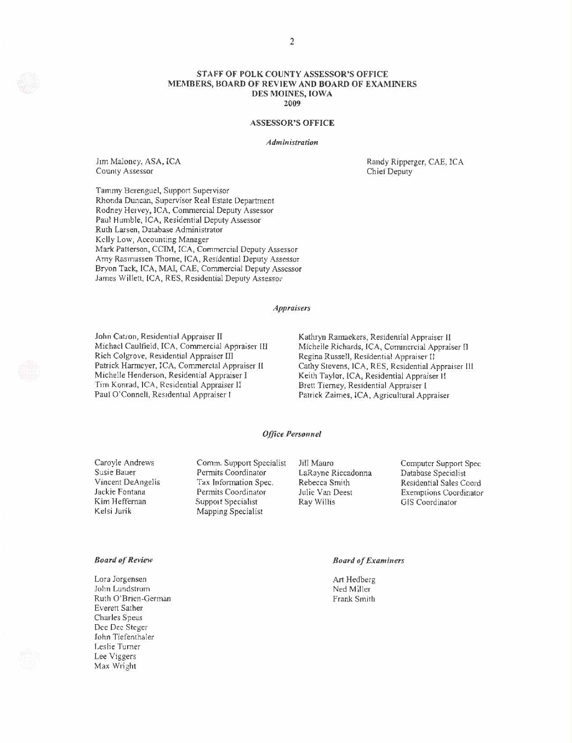#### STAFF OF POLK COUNTY ASSESSOR'S OFFICE MEMBERS, BOARD OF REVIEW AND BOARD OF EXAMINERS DES MOINES, IOWA 2009

### **ASSESSOR'S OFFICE**

#### **Administration**

Jim Maloney, ASA, ICA County Assessor

Randy Ripperger, CAE, ICA Chief Deputy

Tammy Berenguel, Support Supervisor Rhonda Duncan, Supervisor Real Estate Department Rodney Hervey, ICA, Commercial Deputy Assessor Paul Humble, ICA, Residential Deputy Assessor Ruth Larsen, Database Administrator Kelly Low, Accounting Manager Mark Patterson, CCIM, ICA, Commercial Deputy Assessor Amy Rasmussen Thome, ICA, Residential Deputy Assessor Bryon Tack, ICA, MAL, CAE, Commercial Deputy Assessor James Willett, ICA, RES, Residential Deputy Assessor

#### **Appraisers**

John Catron, Residential Appraiser II Michael Caulfield, ICA, Commercial Appraiser III Rich Colgrove, Residential Appraiser III Patrick Harmeyer, ICA, Commercial Appraiser II Michelle Henderson, Residential Appraiser I Tim Konrad, ICA, Residential Appraiser II Paul O'Connell, Residential Appraiser I

Kathryn Ramaekers, Residential Appraiser II Michelle Richards, ICA, Commercial Appraiser II Regina Russell, Residential Appraiser II Cathy Stevens, ICA, RES, Residential Appraiser III Keith Taylor, ICA, Residential Appraiser II Brett Tierney, Residential Appraiser I Patrick Zaimes, ICA, Agricultural Appraiser

#### **Office Personnel**

Caroyle Andrews Susie Bauer Vincent DeAngelis Jackie Fontana Kim Heffernan Kelsi Jurik

#### **Board of Review**

Lora Jorgensen John Lundstrom Ruth O'Brien-German Everett Sather Charles Speas Dee Dee Steger John Tiefenthaler Leslie Turner Lee Viggers Max Wright

Comm. Support Specialist Permits Coordinator Tax Information Spec. Permits Coordinator Support Specialist **Mapping Specialist** 

Jill Mauro LaRayne Riccadonna Rebecca Smith Julie Van Deest Ray Willis

**Computer Support Spec** Database Specialist Residential Sales Coord **Exemptions Coordinator** GIS Coordinator

#### **Board of Examiners**

Art Hedberg Ned Miller Frank Smith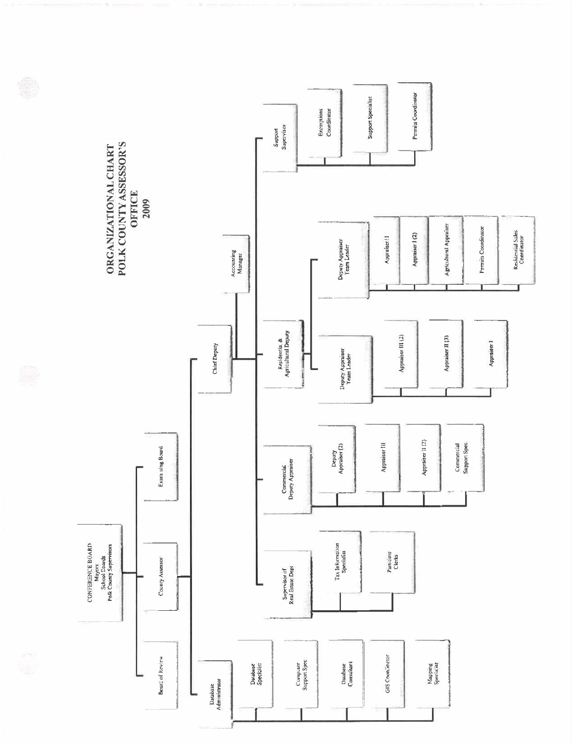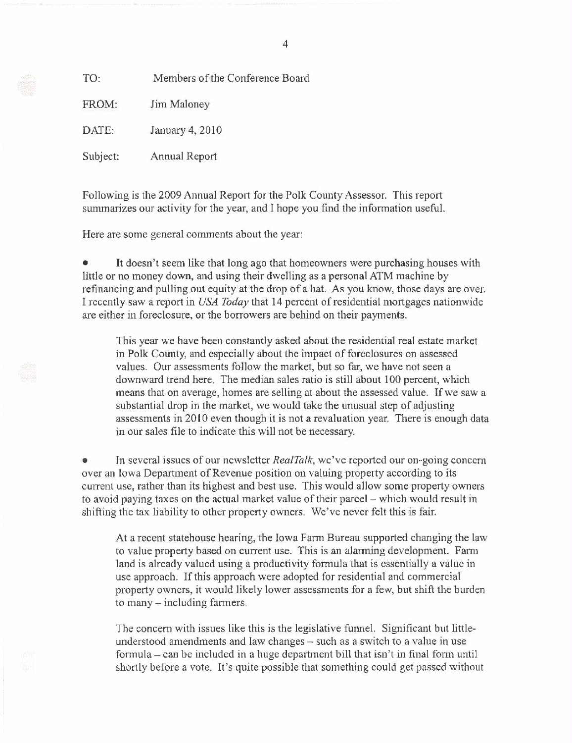TO: Members of the Conference Board

FROM: Jim Maloney

DATE: January 4, 2010

Subject: Annual Report

Following is the 2009 Annual Report for the Polk County Assessor. This report summarizes our activity for the year, and I hope you find the information useful.

Here are some general comments about the year:

. It doesn't seem like that long ago that homeowners were purchasing houses with little or no money down, and using their dwelling as a personal ATM machine by refinancing and pulling out equity at the drop of a hat. As you know, those days are over. I recently saw a report in USA Today that 14 percent of residential mortgages nationwide are either in foreclosure, or the borrowers are behind on their payments.

This year we have been constantly asked about the residential real estate market in Polk County, and especially about the impact of foreclosures on assessed values. Our assessments follow the market, but so far, we have not seen a downward trend here. The median sales ratio is still about 100 percent, which means that on average, homes are selling at about the assessed value. If we saw a substantial drop in the market, we would take the unusual step of adjusting assessments in 2010 even though it is not a revaluation year. There is enough data in our sales file to indicate this will not be necessary.

In several issues of our newsletter RealTalk, we've reported our on-going concern over an Iowa Department of Revenue position on valuing property according to its current use, rather than its highest and best use. This would allow some property owners to avoid paying taxes on the actual market value of their parcel- which would result in shifting the tax liability to other property owners. We've never felt this is fair.

At a recent statehouse hearing, the Iowa Farm Bureau supported changing the law to value property based on current use. This is an alarming development. Farm land is already valued using a productivity formula that is essentially a value in use approach. If this approach were adopted for residential and commercial property owners, it would likely lower assessments for a few, but shift the burden to many - including farmers.

The concern with issues like this is the legislative funnel. Significant but littleunderstood amendments and law changes - such as a switch to a value in use formula  $-$  can be included in a huge department bill that isn't in final form until shortly before a vote. It's quite possible that something could get passed without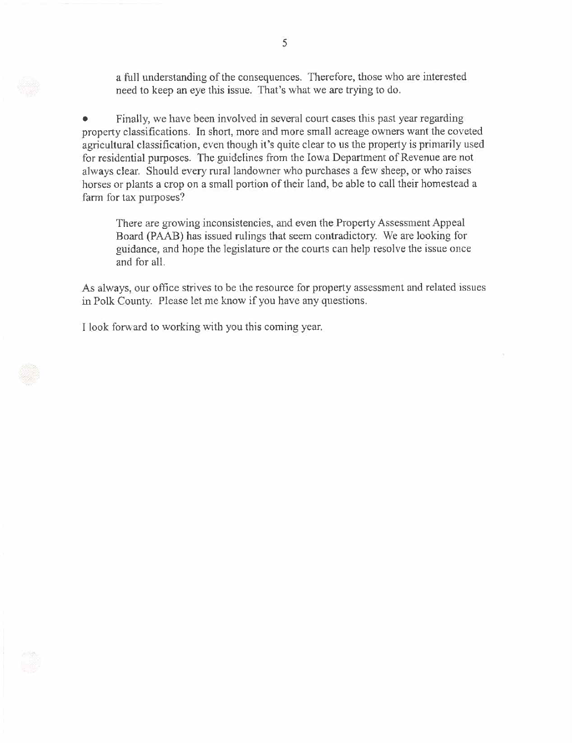a full understanding of the consequences. Therefore, those who are interested need to keep an eye this issue. That's what we are trying to do.

. Finally, we have been involved in several court cases this past year regarding property classifications. In short, more and more small acreage owners want the coveted agricultural classification, even though it's quite clear to us the property is primarily used for residential purposes. The guidelines from the Iowa Department of Revenue are not always clear. Should every rural landowner who purchases a few sheep, or who raises horses or plants a crop on a small portion of their land, be able to call their homestead a farm for tax purposes?

There are growing inconsistencies, and even the Property Assessment Appeal Board (PAAB) has issued rulings that seem contradictory. We are looking for guidance, and hope the legislature or the courts can help resolve the issue once and for alL.

As always, our office strives to be the resource for property assessment and related issues in Polk County. Please let me know if you have any questions.

I look forward to working with you this coming year.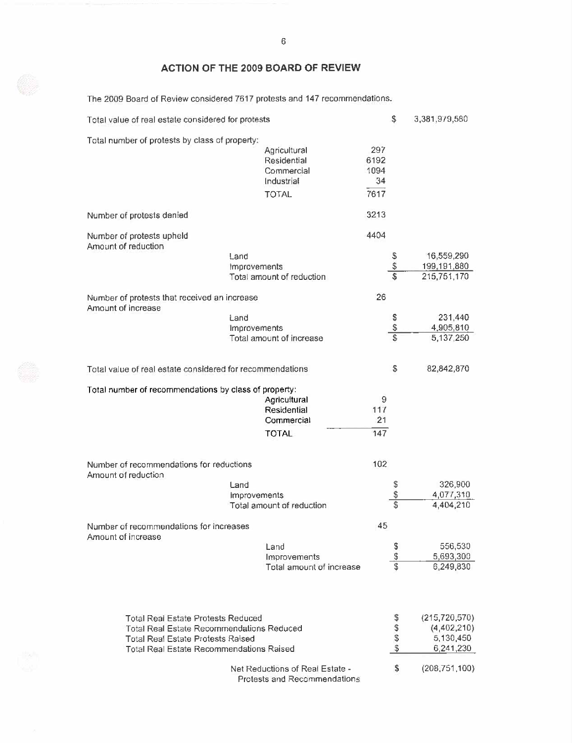ACTION OF THE 2009 BOARD OF REVIEW

The 2009 Board of Review considered 7617 protests and 147 recommendations.

| Total value of real estate considered for protests                                                                                                                                           |                                   | \$<br>3,381,979,580         |                                                          |  |  |
|----------------------------------------------------------------------------------------------------------------------------------------------------------------------------------------------|-----------------------------------|-----------------------------|----------------------------------------------------------|--|--|
| Total number of protests by class of property:<br>Agricultural<br>Residential<br>Commercial<br>Industrial<br><b>TOTAL</b>                                                                    | 297<br>6192<br>1094<br>34<br>7617 |                             |                                                          |  |  |
| Number of protests denied                                                                                                                                                                    | 3213                              |                             |                                                          |  |  |
| Number of protests upheld<br>Amount of reduction<br>Land<br>Improvements                                                                                                                     | 4404                              | \$<br>$$\mathbb{S}$$        | 16,559,290<br>199,191,880                                |  |  |
| Total amount of reduction                                                                                                                                                                    |                                   | \$.                         | 215,751,170                                              |  |  |
| Number of protests that received an increase<br>Amount of increase                                                                                                                           | 26                                |                             |                                                          |  |  |
| Land<br><b>Improvements</b><br>Total amount of increase                                                                                                                                      |                                   | \$<br>\$<br>$\overline{\$}$ | 231,440<br>4,905,810<br>5,137,250                        |  |  |
|                                                                                                                                                                                              |                                   |                             |                                                          |  |  |
| Total value of real estate considered for recommendations                                                                                                                                    |                                   | \$                          | 82,842,870                                               |  |  |
| Total number of recommendations by class of property:<br>Agricultural<br>Residential<br>Commercial                                                                                           | 9<br>117<br>21                    |                             |                                                          |  |  |
| TOTAL                                                                                                                                                                                        | 147                               |                             |                                                          |  |  |
| Number of recommendations for reductions<br>Amount of reduction                                                                                                                              |                                   | 102                         |                                                          |  |  |
| Land<br><b>improvements</b>                                                                                                                                                                  |                                   | \$<br>\$                    | 326,900<br>4,077,310                                     |  |  |
| Total amount of reduction                                                                                                                                                                    |                                   | $\overline{\mathbb{s}}$     | 4,404,210                                                |  |  |
| Number of recommendations for increases<br>Amount of increase                                                                                                                                | 45                                |                             |                                                          |  |  |
| Land                                                                                                                                                                                         |                                   | \$                          | 556,530                                                  |  |  |
| Improvements<br>Total amount of increase                                                                                                                                                     |                                   | \$<br>\$                    | 5,693,300<br>6,249,830                                   |  |  |
| <b>Total Real Estate Protests Reduced</b><br><b>Total Real Estate Recommendations Reduced</b><br><b>Total Real Estate Protests Raised</b><br><b>Total Real Estate Recommendations Raised</b> |                                   | \$<br>\$\$\$                | (215, 720, 570)<br>(4,402,210)<br>5,130,450<br>6,241,230 |  |  |
| Net Reductions of Real Estate -                                                                                                                                                              |                                   | \$                          | (208, 751, 100)                                          |  |  |

Protests and Recommendations